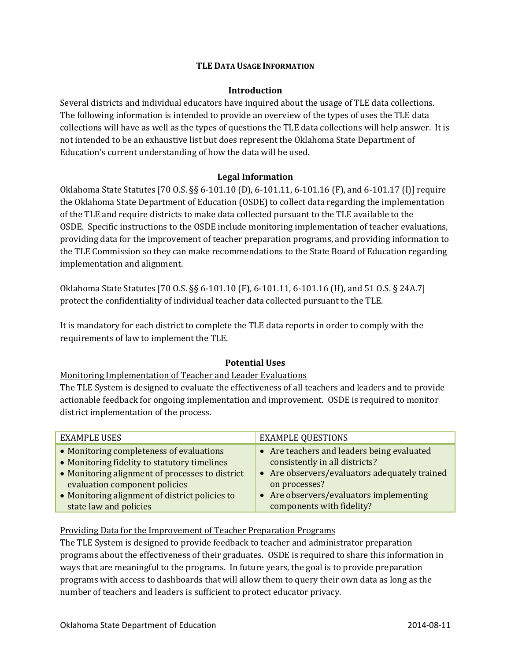#### **TLE DATA USAGE INFORMATION**

#### **Introduction**

Several districts and individual educators have inquired about the usage of TLE data collections. The following information is intended to provide an overview of the types of uses the TLE data collections will have as well as the types of questions the TLE data collections will help answer. It is not intended to be an exhaustive list but does represent the Oklahoma State Department of Education's current understanding of how the data will be used.

#### **Legal Information**

Oklahoma State Statutes [70 O.S. §§ 6-101.10 (D), 6-101.11, 6-101.16 (F), and 6-101.17 (I)] require the Oklahoma State Department of Education (OSDE) to collect data regarding the implementation of the TLE and require districts to make data collected pursuant to the TLE available to the OSDE. Specific instructions to the OSDE include monitoring implementation of teacher evaluations, providing data for the improvement of teacher preparation programs, and providing information to the TLE Commission so they can make recommendations to the State Board of Education regarding implementation and alignment.

Oklahoma State Statutes [70 O.S. §§ 6-101.10 (F), 6-101.11, 6-101.16 (H), and 51 O.S. § 24A.7] protect the confidentiality of individual teacher data collected pursuant to the TLE.

It is mandatory for each district to complete the TLE data reports in order to comply with the requirements of law to implement the TLE.

## **Potential Uses**

Monitoring Implementation of Teacher and Leader Evaluations

The TLE System is designed to evaluate the effectiveness of all teachers and leaders and to provide actionable feedback for ongoing implementation and improvement. OSDE is required to monitor district implementation of the process.

| <b>EXAMPLE USES</b>                             | <b>EXAMPLE QUESTIONS</b>                      |
|-------------------------------------------------|-----------------------------------------------|
| • Monitoring completeness of evaluations        | • Are teachers and leaders being evaluated    |
| • Monitoring fidelity to statutory timelines    | consistently in all districts?                |
| • Monitoring alignment of processes to district | • Are observers/evaluators adequately trained |
| evaluation component policies                   | on processes?                                 |
| • Monitoring alignment of district policies to  | • Are observers/evaluators implementing       |
| state law and policies                          | components with fidelity?                     |

## Providing Data for the Improvement of Teacher Preparation Programs

The TLE System is designed to provide feedback to teacher and administrator preparation programs about the effectiveness of their graduates. OSDE is required to share this information in ways that are meaningful to the programs. In future years, the goal is to provide preparation programs with access to dashboards that will allow them to query their own data as long as the number of teachers and leaders is sufficient to protect educator privacy.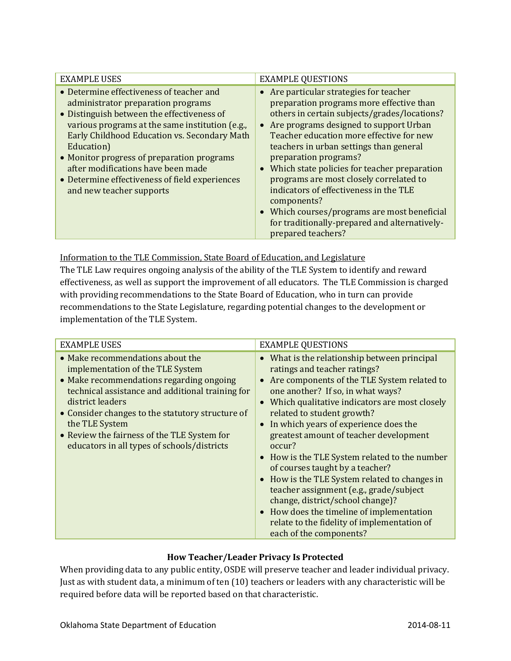| <b>EXAMPLE USES</b>                                                                                                                                                                                                                                                                                                                                                                                             | <b>EXAMPLE QUESTIONS</b>                                                                                                                                                                                                                                                                                                                                                                                                                                                                                                                                                                |
|-----------------------------------------------------------------------------------------------------------------------------------------------------------------------------------------------------------------------------------------------------------------------------------------------------------------------------------------------------------------------------------------------------------------|-----------------------------------------------------------------------------------------------------------------------------------------------------------------------------------------------------------------------------------------------------------------------------------------------------------------------------------------------------------------------------------------------------------------------------------------------------------------------------------------------------------------------------------------------------------------------------------------|
| • Determine effectiveness of teacher and<br>administrator preparation programs<br>• Distinguish between the effectiveness of<br>various programs at the same institution (e.g.,<br>Early Childhood Education vs. Secondary Math<br>Education)<br>• Monitor progress of preparation programs<br>after modifications have been made<br>• Determine effectiveness of field experiences<br>and new teacher supports | • Are particular strategies for teacher<br>preparation programs more effective than<br>others in certain subjects/grades/locations?<br>• Are programs designed to support Urban<br>Teacher education more effective for new<br>teachers in urban settings than general<br>preparation programs?<br>Which state policies for teacher preparation<br>$\bullet$<br>programs are most closely correlated to<br>indicators of effectiveness in the TLE<br>components?<br>• Which courses/programs are most beneficial<br>for traditionally-prepared and alternatively-<br>prepared teachers? |

Information to the TLE Commission, State Board of Education, and Legislature

The TLE Law requires ongoing analysis of the ability of the TLE System to identify and reward effectiveness, as well as support the improvement of all educators. The TLE Commission is charged with providing recommendations to the State Board of Education, who in turn can provide recommendations to the State Legislature, regarding potential changes to the development or implementation of the TLE System.

| <b>EXAMPLE USES</b>                                                                                                                                                                                                                                                                                                                                          | <b>EXAMPLE QUESTIONS</b>                                                                                                                                                                                                                                                                                                                                                                                                                                                                                                                                                                                                                                                                                                       |
|--------------------------------------------------------------------------------------------------------------------------------------------------------------------------------------------------------------------------------------------------------------------------------------------------------------------------------------------------------------|--------------------------------------------------------------------------------------------------------------------------------------------------------------------------------------------------------------------------------------------------------------------------------------------------------------------------------------------------------------------------------------------------------------------------------------------------------------------------------------------------------------------------------------------------------------------------------------------------------------------------------------------------------------------------------------------------------------------------------|
| • Make recommendations about the<br>implementation of the TLE System<br>• Make recommendations regarding ongoing<br>technical assistance and additional training for<br>district leaders<br>• Consider changes to the statutory structure of<br>the TLE System<br>• Review the fairness of the TLE System for<br>educators in all types of schools/districts | • What is the relationship between principal<br>ratings and teacher ratings?<br>Are components of the TLE System related to<br>$\bullet$<br>one another? If so, in what ways?<br>Which qualitative indicators are most closely<br>$\bullet$<br>related to student growth?<br>In which years of experience does the<br>$\bullet$<br>greatest amount of teacher development<br>occur?<br>• How is the TLE System related to the number<br>of courses taught by a teacher?<br>• How is the TLE System related to changes in<br>teacher assignment (e.g., grade/subject<br>change, district/school change)?<br>• How does the timeline of implementation<br>relate to the fidelity of implementation of<br>each of the components? |

# **How Teacher/Leader Privacy Is Protected**

When providing data to any public entity, OSDE will preserve teacher and leader individual privacy. Just as with student data, a minimum of ten (10) teachers or leaders with any characteristic will be required before data will be reported based on that characteristic.